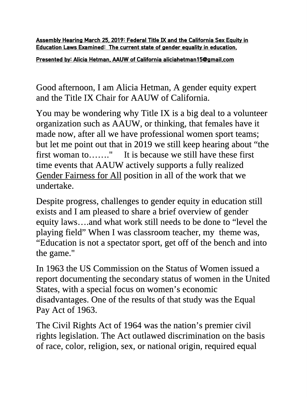**Assembly Hearing March 25, 2019: Federal Title IX and the California Sex Equity in Education Laws Examined: The current state of gender equality in education.**

**Presented by: Alicia Hetman, AAUW of California aliciahetman15@gmail.com**

Good afternoon, I am Alicia Hetman, A gender equity expert and the Title IX Chair for AAUW of California.

You may be wondering why Title IX is a big deal to a volunteer organization such as AAUW, or thinking, that females have it made now, after all we have professional women sport teams; but let me point out that in 2019 we still keep hearing about "the first woman to……." It is because we still have these first time events that AAUW actively supports a fully realized Gender Fairness for All position in all of the work that we undertake.

Despite progress, challenges to gender equity in education still exists and I am pleased to share a brief overview of gender equity laws….and what work still needs to be done to "level the playing field" When I was classroom teacher, my theme was, "Education is not a spectator sport, get off of the bench and into the game."

In 1963 the US Commission on the Status of Women issued a report documenting the secondary status of women in the United States, with a special focus on women's economic disadvantages. One of the results of that study was the Equal Pay Act of 1963.

The Civil Rights Act of 1964 was the nation's premier civil rights legislation. The Act outlawed discrimination on the basis of race, color, religion, sex, or national origin, required equal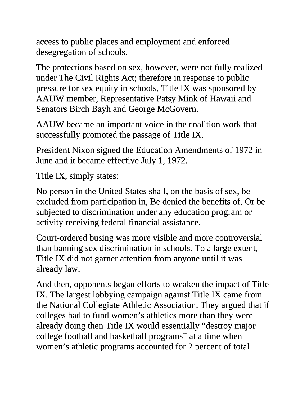access to public places and employment and enforced desegregation of schools.

The protections based on sex, however, were not fully realized under The Civil Rights Act; therefore in response to public pressure for sex equity in schools, Title IX was sponsored by AAUW member, Representative Patsy Mink of Hawaii and Senators Birch Bayh and George McGovern.

AAUW became an important voice in the coalition work that successfully promoted the passage of Title IX.

President Nixon signed the Education Amendments of 1972 in June and it became effective July 1, 1972.

Title IX, simply states:

No person in the United States shall, on the basis of sex, be excluded from participation in, Be denied the benefits of, Or be subjected to discrimination under any education program or activity receiving federal financial assistance.

Court-ordered busing was more visible and more controversial than banning sex discrimination in schools. To a large extent, Title IX did not garner attention from anyone until it was already law.

And then, opponents began efforts to weaken the impact of Title IX. The largest lobbying campaign against Title IX came from the National Collegiate Athletic Association. They argued that if colleges had to fund women's athletics more than they were already doing then Title IX would essentially "destroy major college football and basketball programs" at a time when women's athletic programs accounted for 2 percent of total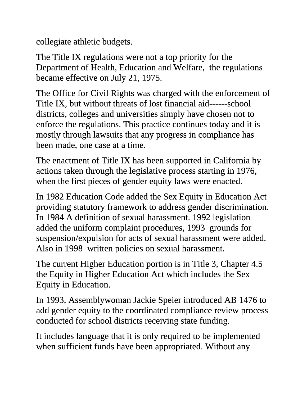collegiate athletic budgets.

The Title IX regulations were not a top priority for the Department of Health, Education and Welfare, the regulations became effective on July 21, 1975.

The Office for Civil Rights was charged with the enforcement of Title IX, but without threats of lost financial aid------school districts, colleges and universities simply have chosen not to enforce the regulations. This practice continues today and it is mostly through lawsuits that any progress in compliance has been made, one case at a time.

The enactment of Title IX has been supported in California by actions taken through the legislative process starting in 1976, when the first pieces of gender equity laws were enacted.

In 1982 Education Code added the Sex Equity in Education Act providing statutory framework to address gender discrimination. In 1984 A definition of sexual harassment. 1992 legislation added the uniform complaint procedures, 1993 grounds for suspension/expulsion for acts of sexual harassment were added. Also in 1998 written policies on sexual harassment.

The current Higher Education portion is in Title 3, Chapter 4.5 the Equity in Higher Education Act which includes the Sex Equity in Education.

In 1993, Assemblywoman Jackie Speier introduced AB 1476 to add gender equity to the coordinated compliance review process conducted for school districts receiving state funding.

It includes language that it is only required to be implemented when sufficient funds have been appropriated. Without any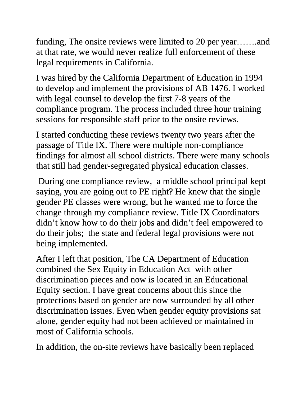funding, The onsite reviews were limited to 20 per year…….and at that rate, we would never realize full enforcement of these legal requirements in California.

I was hired by the California Department of Education in 1994 to develop and implement the provisions of AB 1476. I worked with legal counsel to develop the first 7-8 years of the compliance program. The process included three hour training sessions for responsible staff prior to the onsite reviews.

I started conducting these reviews twenty two years after the passage of Title IX. There were multiple non-compliance findings for almost all school districts. There were many schools that still had gender-segregated physical education classes.

During one compliance review, a middle school principal kept saying, you are going out to PE right? He knew that the single gender PE classes were wrong, but he wanted me to force the change through my compliance review. Title IX Coordinators didn't know how to do their jobs and didn't feel empowered to do their jobs; the state and federal legal provisions were not being implemented.

After I left that position, The CA Department of Education combined the Sex Equity in Education Act with other discrimination pieces and now is located in an Educational Equity section. I have great concerns about this since the protections based on gender are now surrounded by all other discrimination issues. Even when gender equity provisions sat alone, gender equity had not been achieved or maintained in most of California schools.

In addition, the on-site reviews have basically been replaced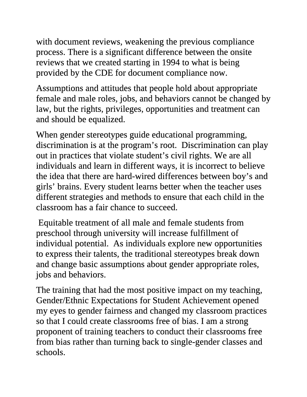with document reviews, weakening the previous compliance process. There is a significant difference between the onsite reviews that we created starting in 1994 to what is being provided by the CDE for document compliance now.

Assumptions and attitudes that people hold about appropriate female and male roles, jobs, and behaviors cannot be changed by law, but the rights, privileges, opportunities and treatment can and should be equalized.

When gender stereotypes guide educational programming, discrimination is at the program's root. Discrimination can play out in practices that violate student's civil rights. We are all individuals and learn in different ways, it is incorrect to believe the idea that there are hard-wired differences between boy's and girls' brains. Every student learns better when the teacher uses different strategies and methods to ensure that each child in the classroom has a fair chance to succeed.

Equitable treatment of all male and female students from preschool through university will increase fulfillment of individual potential. As individuals explore new opportunities to express their talents, the traditional stereotypes break down and change basic assumptions about gender appropriate roles, jobs and behaviors.

The training that had the most positive impact on my teaching, Gender/Ethnic Expectations for Student Achievement opened my eyes to gender fairness and changed my classroom practices so that I could create classrooms free of bias. I am a strong proponent of training teachers to conduct their classrooms free from bias rather than turning back to single-gender classes and schools.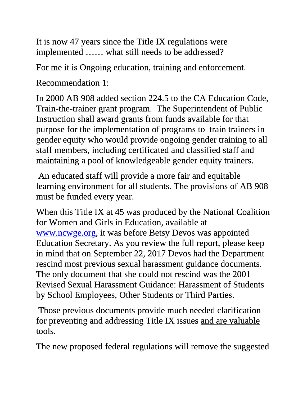It is now 47 years since the Title IX regulations were implemented …… what still needs to be addressed?

For me it is Ongoing education, training and enforcement.

Recommendation 1:

In 2000 AB 908 added section 224.5 to the CA Education Code, Train-the-trainer grant program. The Superintendent of Public Instruction shall award grants from funds available for that purpose for the implementation of programs to train trainers in gender equity who would provide ongoing gender training to all staff members, including certificated and classified staff and maintaining a pool of knowledgeable gender equity trainers.

An educated staff will provide a more fair and equitable learning environment for all students. The provisions of AB 908 must be funded every year.

When this Title IX at 45 was produced by the National Coalition for Women and Girls in Education, available at www.ncwge.org, it was before Betsy Devos was appointed Education Secretary. As you review the full report, please keep in mind that on September 22, 2017 Devos had the Department rescind most previous sexual harassment guidance documents. The only document that she could not rescind was the 2001 Revised Sexual Harassment Guidance: Harassment of Students by School Employees, Other Students or Third Parties.

Those previous documents provide much needed clarification for preventing and addressing Title IX issues and are valuable tools.

The new proposed federal regulations will remove the suggested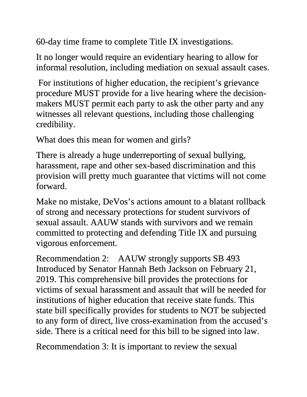60-day time frame to complete Title IX investigations.

It no longer would require an evidentiary hearing to allow for informal resolution, including mediation on sexual assault cases.

For institutions of higher education, the recipient's grievance procedure MUST provide for a live hearing where the decisionmakers MUST permit each party to ask the other party and any witnesses all relevant questions, including those challenging credibility.

What does this mean for women and girls?

There is already a huge underreporting of sexual bullying, harassment, rape and other sex-based discrimination and this provision will pretty much guarantee that victims will not come forward.

Make no mistake, DeVos's actions amount to a blatant rollback of strong and necessary protections for student survivors of sexual assault. AAUW stands with survivors and we remain committed to protecting and defending Title IX and pursuing vigorous enforcement.

Recommendation 2: AAUW strongly supports SB 493 Introduced by Senator Hannah Beth Jackson on February 21, 2019. This comprehensive bill provides the protections for victims of sexual harassment and assault that will be needed for institutions of higher education that receive state funds. This state bill specifically provides for students to NOT be subjected to any form of direct, live cross-examination from the accused's side. There is a critical need for this bill to be signed into law.

Recommendation 3: It is important to review the sexual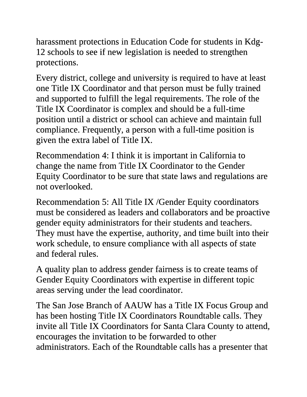harassment protections in Education Code for students in Kdg-12 schools to see if new legislation is needed to strengthen protections.

Every district, college and university is required to have at least one Title IX Coordinator and that person must be fully trained and supported to fulfill the legal requirements. The role of the Title IX Coordinator is complex and should be a full-time position until a district or school can achieve and maintain full compliance. Frequently, a person with a full-time position is given the extra label of Title IX.

Recommendation 4: I think it is important in California to change the name from Title IX Coordinator to the Gender Equity Coordinator to be sure that state laws and regulations are not overlooked.

Recommendation 5: All Title IX /Gender Equity coordinators must be considered as leaders and collaborators and be proactive gender equity administrators for their students and teachers. They must have the expertise, authority, and time built into their work schedule, to ensure compliance with all aspects of state and federal rules.

A quality plan to address gender fairness is to create teams of Gender Equity Coordinators with expertise in different topic areas serving under the lead coordinator.

The San Jose Branch of AAUW has a Title IX Focus Group and has been hosting Title IX Coordinators Roundtable calls. They invite all Title IX Coordinators for Santa Clara County to attend, encourages the invitation to be forwarded to other administrators. Each of the Roundtable calls has a presenter that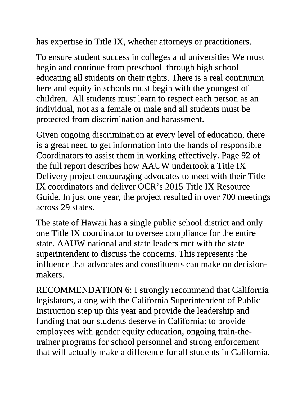has expertise in Title IX, whether attorneys or practitioners.

To ensure student success in colleges and universities We must begin and continue from preschool through high school educating all students on their rights. There is a real continuum here and equity in schools must begin with the youngest of children. All students must learn to respect each person as an individual, not as a female or male and all students must be protected from discrimination and harassment.

Given ongoing discrimination at every level of education, there is a great need to get information into the hands of responsible Coordinators to assist them in working effectively. Page 92 of the full report describes how AAUW undertook a Title IX Delivery project encouraging advocates to meet with their Title IX coordinators and deliver OCR's 2015 Title IX Resource Guide. In just one year, the project resulted in over 700 meetings across 29 states.

The state of Hawaii has a single public school district and only one Title IX coordinator to oversee compliance for the entire state. AAUW national and state leaders met with the state superintendent to discuss the concerns. This represents the influence that advocates and constituents can make on decisionmakers.

RECOMMENDATION 6: I strongly recommend that California legislators, along with the California Superintendent of Public Instruction step up this year and provide the leadership and funding that our students deserve in California: to provide employees with gender equity education, ongoing train-thetrainer programs for school personnel and strong enforcement that will actually make a difference for all students in California.